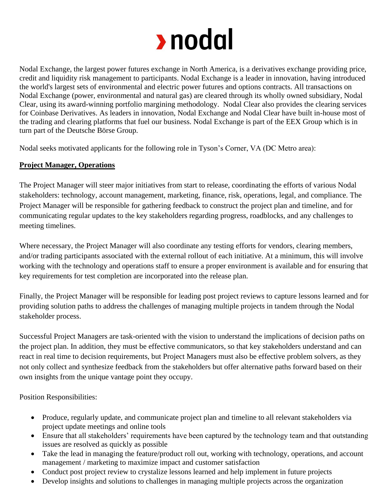## rodal

Nodal Exchange, the largest power futures exchange in North America, is a derivatives exchange providing price, credit and liquidity risk management to participants. Nodal Exchange is a leader in innovation, having introduced the world's largest sets of environmental and electric power futures and options contracts. All transactions on Nodal Exchange (power, environmental and natural gas) are cleared through its wholly owned subsidiary, Nodal Clear, using its award-winning portfolio margining methodology. Nodal Clear also provides the clearing services for Coinbase Derivatives. As leaders in innovation, Nodal Exchange and Nodal Clear have built in-house most of the trading and clearing platforms that fuel our business. Nodal Exchange is part of the EEX Group which is in turn part of the Deutsche Börse Group.

Nodal seeks motivated applicants for the following role in Tyson's Corner, VA (DC Metro area):

## **Project Manager, Operations**

The Project Manager will steer major initiatives from start to release, coordinating the efforts of various Nodal stakeholders: technology, account management, marketing, finance, risk, operations, legal, and compliance. The Project Manager will be responsible for gathering feedback to construct the project plan and timeline, and for communicating regular updates to the key stakeholders regarding progress, roadblocks, and any challenges to meeting timelines.

Where necessary, the Project Manager will also coordinate any testing efforts for vendors, clearing members, and/or trading participants associated with the external rollout of each initiative. At a minimum, this will involve working with the technology and operations staff to ensure a proper environment is available and for ensuring that key requirements for test completion are incorporated into the release plan.

Finally, the Project Manager will be responsible for leading post project reviews to capture lessons learned and for providing solution paths to address the challenges of managing multiple projects in tandem through the Nodal stakeholder process.

Successful Project Managers are task-oriented with the vision to understand the implications of decision paths on the project plan. In addition, they must be effective communicators, so that key stakeholders understand and can react in real time to decision requirements, but Project Managers must also be effective problem solvers, as they not only collect and synthesize feedback from the stakeholders but offer alternative paths forward based on their own insights from the unique vantage point they occupy.

Position Responsibilities:

- Produce, regularly update, and communicate project plan and timeline to all relevant stakeholders via project update meetings and online tools
- Ensure that all stakeholders' requirements have been captured by the technology team and that outstanding issues are resolved as quickly as possible
- Take the lead in managing the feature/product roll out, working with technology, operations, and account management / marketing to maximize impact and customer satisfaction
- Conduct post project review to crystalize lessons learned and help implement in future projects
- Develop insights and solutions to challenges in managing multiple projects across the organization